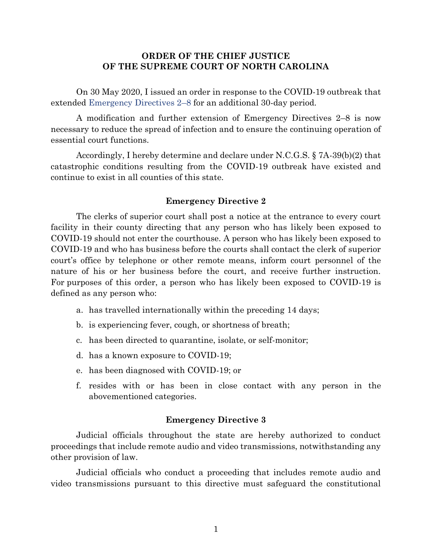### **ORDER OF THE CHIEF JUSTICE OF THE SUPREME COURT OF NORTH CAROLINA**

On 30 May 2020, I issued an order in response to the COVID-19 outbreak that extended [Emergency Directives 2](https://www.nccourts.gov/assets/news-uploads/30%20May%202020%20-%207A-39%28b%29%282%29%20Extension%20Order.pdf?JrCQ.9a8WOPuh82NQFvq_Pp7ZNBLnQKF)–8 for an additional 30-day period.

A modification and further extension of Emergency Directives 2–8 is now necessary to reduce the spread of infection and to ensure the continuing operation of essential court functions.

Accordingly, I hereby determine and declare under N.C.G.S. § 7A-39(b)(2) that catastrophic conditions resulting from the COVID-19 outbreak have existed and continue to exist in all counties of this state.

### **Emergency Directive 2**

The clerks of superior court shall post a notice at the entrance to every court facility in their county directing that any person who has likely been exposed to COVID-19 should not enter the courthouse. A person who has likely been exposed to COVID-19 and who has business before the courts shall contact the clerk of superior court's office by telephone or other remote means, inform court personnel of the nature of his or her business before the court, and receive further instruction. For purposes of this order, a person who has likely been exposed to COVID-19 is defined as any person who:

- a. has travelled internationally within the preceding 14 days;
- b. is experiencing fever, cough, or shortness of breath;
- c. has been directed to quarantine, isolate, or self-monitor;
- d. has a known exposure to COVID-19;
- e. has been diagnosed with COVID-19; or
- f. resides with or has been in close contact with any person in the abovementioned categories.

#### **Emergency Directive 3**

Judicial officials throughout the state are hereby authorized to conduct proceedings that include remote audio and video transmissions, notwithstanding any other provision of law.

Judicial officials who conduct a proceeding that includes remote audio and video transmissions pursuant to this directive must safeguard the constitutional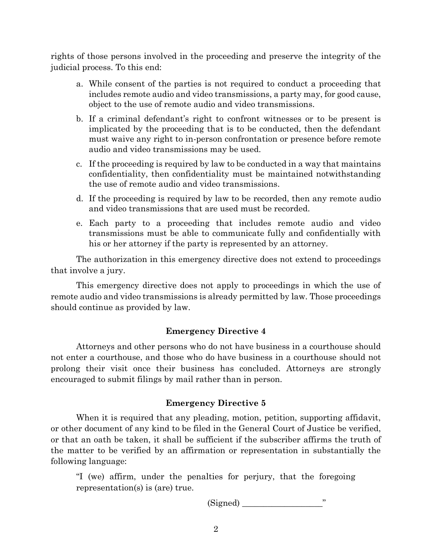rights of those persons involved in the proceeding and preserve the integrity of the judicial process. To this end:

- a. While consent of the parties is not required to conduct a proceeding that includes remote audio and video transmissions, a party may, for good cause, object to the use of remote audio and video transmissions.
- b. If a criminal defendant's right to confront witnesses or to be present is implicated by the proceeding that is to be conducted, then the defendant must waive any right to in-person confrontation or presence before remote audio and video transmissions may be used.
- c. If the proceeding is required by law to be conducted in a way that maintains confidentiality, then confidentiality must be maintained notwithstanding the use of remote audio and video transmissions.
- d. If the proceeding is required by law to be recorded, then any remote audio and video transmissions that are used must be recorded.
- e. Each party to a proceeding that includes remote audio and video transmissions must be able to communicate fully and confidentially with his or her attorney if the party is represented by an attorney.

The authorization in this emergency directive does not extend to proceedings that involve a jury.

This emergency directive does not apply to proceedings in which the use of remote audio and video transmissions is already permitted by law. Those proceedings should continue as provided by law.

## **Emergency Directive 4**

Attorneys and other persons who do not have business in a courthouse should not enter a courthouse, and those who do have business in a courthouse should not prolong their visit once their business has concluded. Attorneys are strongly encouraged to submit filings by mail rather than in person.

## **Emergency Directive 5**

When it is required that any pleading, motion, petition, supporting affidavit, or other document of any kind to be filed in the General Court of Justice be verified, or that an oath be taken, it shall be sufficient if the subscriber affirms the truth of the matter to be verified by an affirmation or representation in substantially the following language:

"I (we) affirm, under the penalties for perjury, that the foregoing representation(s) is (are) true.

 $(Signed)$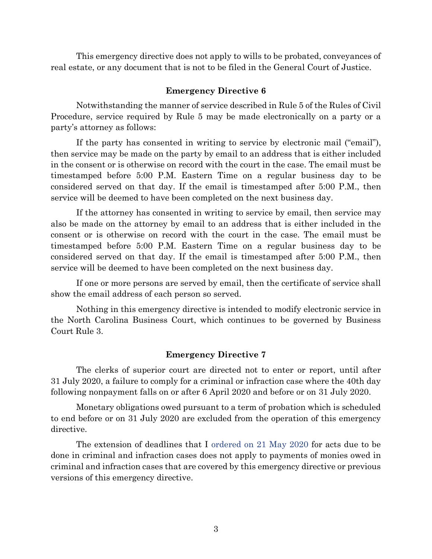This emergency directive does not apply to wills to be probated, conveyances of real estate, or any document that is not to be filed in the General Court of Justice.

#### **Emergency Directive 6**

Notwithstanding the manner of service described in Rule 5 of the Rules of Civil Procedure, service required by Rule 5 may be made electronically on a party or a party's attorney as follows:

If the party has consented in writing to service by electronic mail ("email"), then service may be made on the party by email to an address that is either included in the consent or is otherwise on record with the court in the case. The email must be timestamped before 5:00 P.M. Eastern Time on a regular business day to be considered served on that day. If the email is timestamped after 5:00 P.M., then service will be deemed to have been completed on the next business day.

If the attorney has consented in writing to service by email, then service may also be made on the attorney by email to an address that is either included in the consent or is otherwise on record with the court in the case. The email must be timestamped before 5:00 P.M. Eastern Time on a regular business day to be considered served on that day. If the email is timestamped after 5:00 P.M., then service will be deemed to have been completed on the next business day.

If one or more persons are served by email, then the certificate of service shall show the email address of each person so served.

Nothing in this emergency directive is intended to modify electronic service in the North Carolina Business Court, which continues to be governed by Business Court Rule 3.

### **Emergency Directive 7**

The clerks of superior court are directed not to enter or report, until after 31 July 2020, a failure to comply for a criminal or infraction case where the 40th day following nonpayment falls on or after 6 April 2020 and before or on 31 July 2020.

Monetary obligations owed pursuant to a term of probation which is scheduled to end before or on 31 July 2020 are excluded from the operation of this emergency directive.

The extension of deadlines that I [ordered on 21 May 2020](https://www.nccourts.gov/assets/news-uploads/21%20May%202020%20-%207A-39%28b%29%281%29%20Order%20%28FINAL%29.pdf?2nANI_xM311YtKvOPf0JeUFxGbY0aWRA) for acts due to be done in criminal and infraction cases does not apply to payments of monies owed in criminal and infraction cases that are covered by this emergency directive or previous versions of this emergency directive.